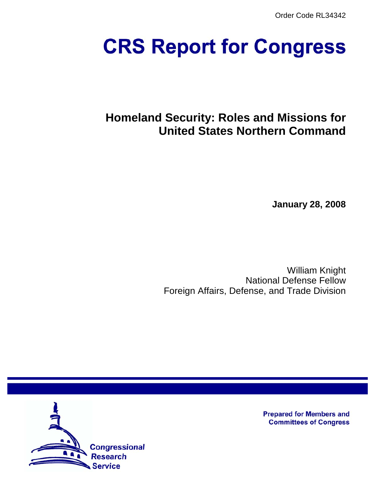Order Code RL34342

# **CRS Report for Congress**

# **Homeland Security: Roles and Missions for United States Northern Command**

**January 28, 2008**

William Knight National Defense Fellow Foreign Affairs, Defense, and Trade Division



**Prepared for Members and Committees of Congress**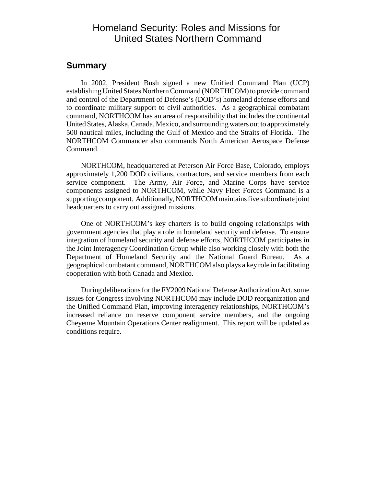# Homeland Security: Roles and Missions for United States Northern Command

#### **Summary**

In 2002, President Bush signed a new Unified Command Plan (UCP) establishing United States Northern Command (NORTHCOM) to provide command and control of the Department of Defense's (DOD's) homeland defense efforts and to coordinate military support to civil authorities. As a geographical combatant command, NORTHCOM has an area of responsibility that includes the continental United States, Alaska, Canada, Mexico, and surrounding waters out to approximately 500 nautical miles, including the Gulf of Mexico and the Straits of Florida. The NORTHCOM Commander also commands North American Aerospace Defense Command.

NORTHCOM, headquartered at Peterson Air Force Base, Colorado, employs approximately 1,200 DOD civilians, contractors, and service members from each service component. The Army, Air Force, and Marine Corps have service components assigned to NORTHCOM, while Navy Fleet Forces Command is a supporting component. Additionally, NORTHCOM maintains five subordinate joint headquarters to carry out assigned missions.

One of NORTHCOM's key charters is to build ongoing relationships with government agencies that play a role in homeland security and defense. To ensure integration of homeland security and defense efforts, NORTHCOM participates in the Joint Interagency Coordination Group while also working closely with both the Department of Homeland Security and the National Guard Bureau. As a geographical combatant command, NORTHCOM also plays a key role in facilitating cooperation with both Canada and Mexico.

During deliberations for the FY2009 National Defense Authorization Act, some issues for Congress involving NORTHCOM may include DOD reorganization and the Unified Command Plan, improving interagency relationships, NORTHCOM's increased reliance on reserve component service members, and the ongoing Cheyenne Mountain Operations Center realignment. This report will be updated as conditions require.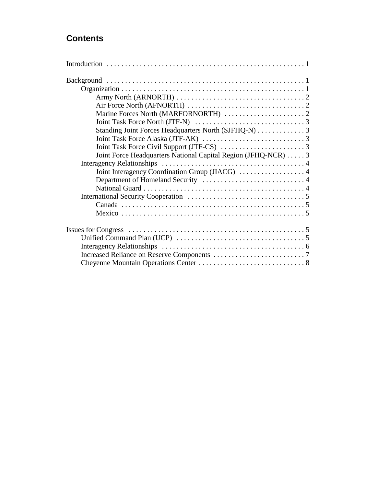# **Contents**

| Joint Force Headquarters National Capital Region (JFHQ-NCR)  3 |
|----------------------------------------------------------------|
|                                                                |
|                                                                |
|                                                                |
|                                                                |
|                                                                |
|                                                                |
|                                                                |
|                                                                |
|                                                                |
|                                                                |
|                                                                |
|                                                                |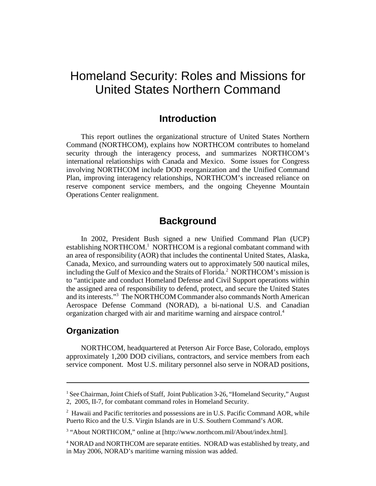# Homeland Security: Roles and Missions for United States Northern Command

## **Introduction**

This report outlines the organizational structure of United States Northern Command (NORTHCOM), explains how NORTHCOM contributes to homeland security through the interagency process, and summarizes NORTHCOM's international relationships with Canada and Mexico. Some issues for Congress involving NORTHCOM include DOD reorganization and the Unified Command Plan, improving interagency relationships, NORTHCOM's increased reliance on reserve component service members, and the ongoing Cheyenne Mountain Operations Center realignment.

## **Background**

In 2002, President Bush signed a new Unified Command Plan (UCP) establishing NORTHCOM.<sup>1</sup> NORTHCOM is a regional combatant command with an area of responsibility (AOR) that includes the continental United States, Alaska, Canada, Mexico, and surrounding waters out to approximately 500 nautical miles, including the Gulf of Mexico and the Straits of Florida.<sup>2</sup> NORTHCOM's mission is to "anticipate and conduct Homeland Defense and Civil Support operations within the assigned area of responsibility to defend, protect, and secure the United States and its interests."3 The NORTHCOM Commander also commands North American Aerospace Defense Command (NORAD), a bi-national U.S. and Canadian organization charged with air and maritime warning and airspace control.4

#### **Organization**

NORTHCOM, headquartered at Peterson Air Force Base, Colorado, employs approximately 1,200 DOD civilians, contractors, and service members from each service component. Most U.S. military personnel also serve in NORAD positions,

<sup>&</sup>lt;sup>1</sup> See Chairman, Joint Chiefs of Staff, Joint Publication 3-26, "Homeland Security," August 2, 2005, II-7, for combatant command roles in Homeland Security.

<sup>&</sup>lt;sup>2</sup> Hawaii and Pacific territories and possessions are in U.S. Pacific Command AOR, while Puerto Rico and the U.S. Virgin Islands are in U.S. Southern Command's AOR.

<sup>&</sup>lt;sup>3</sup> "About NORTHCOM," online at [http://www.northcom.mil/About/index.html].

<sup>&</sup>lt;sup>4</sup> NORAD and NORTHCOM are separate entities. NORAD was established by treaty, and in May 2006, NORAD's maritime warning mission was added.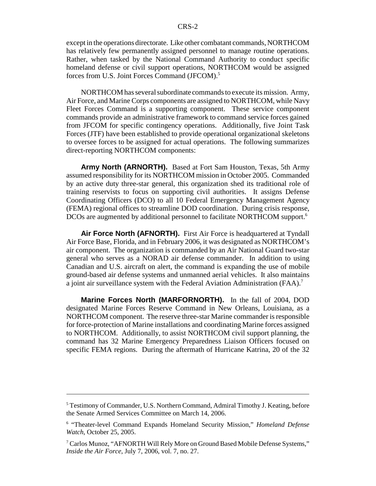except in the operations directorate. Like other combatant commands, NORTHCOM has relatively few permanently assigned personnel to manage routine operations. Rather, when tasked by the National Command Authority to conduct specific homeland defense or civil support operations, NORTHCOM would be assigned forces from U.S. Joint Forces Command (JFCOM).<sup>5</sup>

NORTHCOM has several subordinate commands to execute its mission. Army, Air Force, and Marine Corps components are assigned to NORTHCOM, while Navy Fleet Forces Command is a supporting component. These service component commands provide an administrative framework to command service forces gained from JFCOM for specific contingency operations. Additionally, five Joint Task Forces (JTF) have been established to provide operational organizational skeletons to oversee forces to be assigned for actual operations. The following summarizes direct-reporting NORTHCOM components:

**Army North (ARNORTH).** Based at Fort Sam Houston, Texas, 5th Army assumed responsibility for its NORTHCOM mission in October 2005. Commanded by an active duty three-star general, this organization shed its traditional role of training reservists to focus on supporting civil authorities. It assigns Defense Coordinating Officers (DCO) to all 10 Federal Emergency Management Agency (FEMA) regional offices to streamline DOD coordination. During crisis response, DCOs are augmented by additional personnel to facilitate NORTHCOM support.6

**Air Force North (AFNORTH).** First Air Force is headquartered at Tyndall Air Force Base, Florida, and in February 2006, it was designated as NORTHCOM's air component. The organization is commanded by an Air National Guard two-star general who serves as a NORAD air defense commander. In addition to using Canadian and U.S. aircraft on alert, the command is expanding the use of mobile ground-based air defense systems and unmanned aerial vehicles. It also maintains a joint air surveillance system with the Federal Aviation Administration (FAA).7

**Marine Forces North (MARFORNORTH).** In the fall of 2004, DOD designated Marine Forces Reserve Command in New Orleans, Louisiana, as a NORTHCOM component. The reserve three-star Marine commander is responsible for force-protection of Marine installations and coordinating Marine forces assigned to NORTHCOM. Additionally, to assist NORTHCOM civil support planning, the command has 32 Marine Emergency Preparedness Liaison Officers focused on specific FEMA regions. During the aftermath of Hurricane Katrina, 20 of the 32

<sup>&</sup>lt;sup>5</sup> Testimony of Commander, U.S. Northern Command, Admiral Timothy J. Keating, before the Senate Armed Services Committee on March 14, 2006.

<sup>6</sup> "Theater-level Command Expands Homeland Security Mission," *Homeland Defense Watch*, October 25, 2005.

<sup>&</sup>lt;sup>7</sup> Carlos Munoz, "AFNORTH Will Rely More on Ground Based Mobile Defense Systems," *Inside the Air Force*, July 7, 2006, vol. 7, no. 27.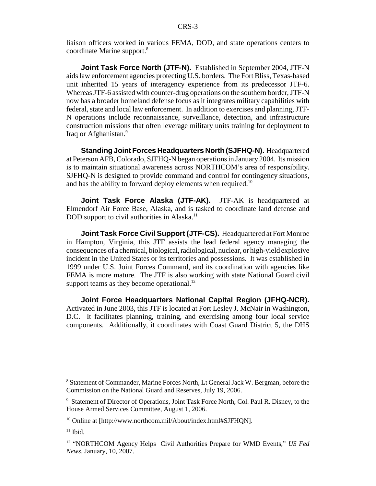liaison officers worked in various FEMA, DOD, and state operations centers to coordinate Marine support.8

**Joint Task Force North (JTF-N).** Established in September 2004, JTF-N aids law enforcement agencies protecting U.S. borders. The Fort Bliss, Texas-based unit inherited 15 years of interagency experience from its predecessor JTF-6. Whereas JTF-6 assisted with counter-drug operations on the southern border, JTF-N now has a broader homeland defense focus as it integrates military capabilities with federal, state and local law enforcement. In addition to exercises and planning, JTF-N operations include reconnaissance, surveillance, detection, and infrastructure construction missions that often leverage military units training for deployment to Iraq or Afghanistan.<sup>9</sup>

**Standing Joint Forces Headquarters North (SJFHQ-N).** Headquartered at Peterson AFB, Colorado, SJFHQ-N began operations in January 2004. Its mission is to maintain situational awareness across NORTHCOM's area of responsibility. SJFHQ-N is designed to provide command and control for contingency situations, and has the ability to forward deploy elements when required.<sup>10</sup>

**Joint Task Force Alaska (JTF-AK).** JTF-AK is headquartered at Elmendorf Air Force Base, Alaska, and is tasked to coordinate land defense and DOD support to civil authorities in Alaska.<sup>11</sup>

**Joint Task Force Civil Support (JTF-CS).** Headquartered at Fort Monroe in Hampton, Virginia, this JTF assists the lead federal agency managing the consequences of a chemical, biological, radiological, nuclear, or high-yield explosive incident in the United States or its territories and possessions. It was established in 1999 under U.S. Joint Forces Command, and its coordination with agencies like FEMA is more mature. The JTF is also working with state National Guard civil support teams as they become operational. $^{12}$ 

**Joint Force Headquarters National Capital Region (JFHQ-NCR).** Activated in June 2003, this JTF is located at Fort Lesley J. McNair in Washington, D.C. It facilitates planning, training, and exercising among four local service components. Additionally, it coordinates with Coast Guard District 5, the DHS

<sup>&</sup>lt;sup>8</sup> Statement of Commander, Marine Forces North, Lt General Jack W. Bergman, before the Commission on the National Guard and Reserves, July 19, 2006.

<sup>&</sup>lt;sup>9</sup> Statement of Director of Operations, Joint Task Force North, Col. Paul R. Disney, to the House Armed Services Committee, August 1, 2006.

<sup>10</sup> Online at [http://www.northcom.mil/About/index.html#SJFHQN].

 $11$  Ibid.

<sup>12 &</sup>quot;NORTHCOM Agency Helps Civil Authorities Prepare for WMD Events," *US Fed News*, January, 10, 2007.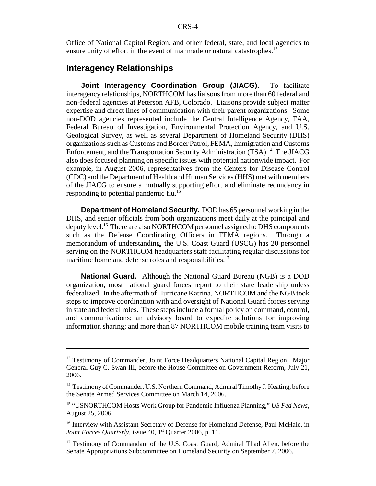Office of National Capitol Region, and other federal, state, and local agencies to ensure unity of effort in the event of manmade or natural catastrophes.<sup>13</sup>

#### **Interagency Relationships**

**Joint Interagency Coordination Group (JIACG).** To facilitate interagency relationships, NORTHCOM has liaisons from more than 60 federal and non-federal agencies at Peterson AFB, Colorado. Liaisons provide subject matter expertise and direct lines of communication with their parent organizations. Some non-DOD agencies represented include the Central Intelligence Agency, FAA, Federal Bureau of Investigation, Environmental Protection Agency, and U.S. Geological Survey, as well as several Department of Homeland Security (DHS) organizations such as Customs and Border Patrol, FEMA, Immigration and Customs Enforcement, and the Transportation Security Administration (TSA).<sup>14</sup> The JIACG also does focused planning on specific issues with potential nationwide impact. For example, in August 2006, representatives from the Centers for Disease Control (CDC) and the Department of Health and Human Services (HHS) met with members of the JIACG to ensure a mutually supporting effort and eliminate redundancy in responding to potential pandemic flu.<sup>15</sup>

**Department of Homeland Security.** DOD has 65 personnel working in the DHS, and senior officials from both organizations meet daily at the principal and deputy level.16 There are also NORTHCOM personnel assigned to DHS components such as the Defense Coordinating Officers in FEMA regions. Through a memorandum of understanding, the U.S. Coast Guard (USCG) has 20 personnel serving on the NORTHCOM headquarters staff facilitating regular discussions for maritime homeland defense roles and responsibilities.<sup>17</sup>

**National Guard.** Although the National Guard Bureau (NGB) is a DOD organization, most national guard forces report to their state leadership unless federalized. In the aftermath of Hurricane Katrina, NORTHCOM and the NGB took steps to improve coordination with and oversight of National Guard forces serving in state and federal roles. These steps include a formal policy on command, control, and communications; an advisory board to expedite solutions for improving information sharing; and more than 87 NORTHCOM mobile training team visits to

<sup>&</sup>lt;sup>13</sup> Testimony of Commander, Joint Force Headquarters National Capital Region, Major General Guy C. Swan III, before the House Committee on Government Reform, July 21, 2006.

<sup>&</sup>lt;sup>14</sup> Testimony of Commander, U.S. Northern Command, Admiral Timothy J. Keating, before the Senate Armed Services Committee on March 14, 2006.

<sup>15 &</sup>quot;USNORTHCOM Hosts Work Group for Pandemic Influenza Planning," *US Fed News*, August 25, 2006.

<sup>&</sup>lt;sup>16</sup> Interview with Assistant Secretary of Defense for Homeland Defense, Paul McHale, in *Joint Forces Quarterly*, issue 40, 1<sup>st</sup> Quarter 2006, p. 11.

<sup>&</sup>lt;sup>17</sup> Testimony of Commandant of the U.S. Coast Guard, Admiral Thad Allen, before the Senate Appropriations Subcommittee on Homeland Security on September 7, 2006.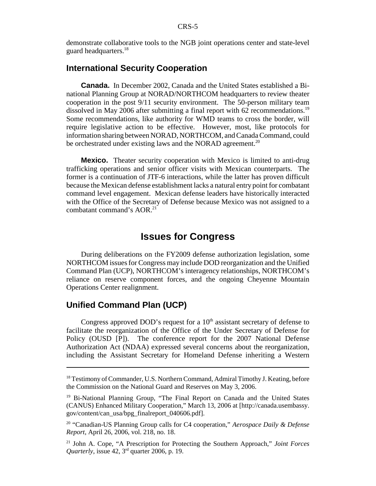demonstrate collaborative tools to the NGB joint operations center and state-level guard headquarters.<sup>18</sup>

#### **International Security Cooperation**

**Canada.** In December 2002, Canada and the United States established a Binational Planning Group at NORAD/NORTHCOM headquarters to review theater cooperation in the post 9/11 security environment. The 50-person military team dissolved in May 2006 after submitting a final report with 62 recommendations.<sup>19</sup> Some recommendations, like authority for WMD teams to cross the border, will require legislative action to be effective. However, most, like protocols for information sharing between NORAD, NORTHCOM, and Canada Command, could be orchestrated under existing laws and the NORAD agreement.<sup>20</sup>

**Mexico.** Theater security cooperation with Mexico is limited to anti-drug trafficking operations and senior officer visits with Mexican counterparts. The former is a continuation of JTF-6 interactions, while the latter has proven difficult because the Mexican defense establishment lacks a natural entry point for combatant command level engagement. Mexican defense leaders have historically interacted with the Office of the Secretary of Defense because Mexico was not assigned to a combatant command's AOR.<sup>21</sup>

## **Issues for Congress**

During deliberations on the FY2009 defense authorization legislation, some NORTHCOM issues for Congress may include DOD reorganization and the Unified Command Plan (UCP), NORTHCOM's interagency relationships, NORTHCOM's reliance on reserve component forces, and the ongoing Cheyenne Mountain Operations Center realignment.

#### **Unified Command Plan (UCP)**

Congress approved DOD's request for a  $10<sup>th</sup>$  assistant secretary of defense to facilitate the reorganization of the Office of the Under Secretary of Defense for Policy (OUSD [P]). The conference report for the 2007 National Defense Authorization Act (NDAA) expressed several concerns about the reorganization, including the Assistant Secretary for Homeland Defense inheriting a Western

<sup>&</sup>lt;sup>18</sup> Testimony of Commander, U.S. Northern Command, Admiral Timothy J. Keating, before the Commission on the National Guard and Reserves on May 3, 2006.

<sup>19</sup> Bi-National Planning Group, "The Final Report on Canada and the United States (CANUS) Enhanced Military Cooperation," March 13, 2006 at [http://canada.usembassy. gov/content/can\_usa/bpg\_finalreport\_040606.pdf].

<sup>20 &</sup>quot;Canadian-US Planning Group calls for C4 cooperation," *Aerospace Daily & Defense Report*, April 26, 2006, vol. 218, no. 18.

<sup>21</sup> John A. Cope, "A Prescription for Protecting the Southern Approach," *Joint Forces Quarterly*, issue 42, 3<sup>rd</sup> quarter 2006, p. 19.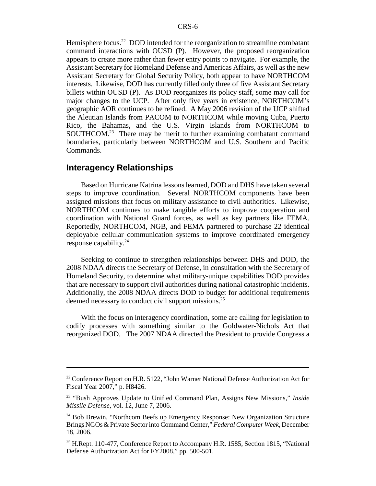Hemisphere focus.<sup>22</sup> DOD intended for the reorganization to streamline combatant command interactions with OUSD (P). However, the proposed reorganization appears to create more rather than fewer entry points to navigate. For example, the Assistant Secretary for Homeland Defense and Americas Affairs, as well as the new Assistant Secretary for Global Security Policy, both appear to have NORTHCOM interests. Likewise, DOD has currently filled only three of five Assistant Secretary billets within OUSD (P). As DOD reorganizes its policy staff, some may call for major changes to the UCP. After only five years in existence, NORTHCOM's geographic AOR continues to be refined. A May 2006 revision of the UCP shifted the Aleutian Islands from PACOM to NORTHCOM while moving Cuba, Puerto Rico, the Bahamas, and the U.S. Virgin Islands from NORTHCOM to SOUTHCOM.<sup>23</sup> There may be merit to further examining combatant command boundaries, particularly between NORTHCOM and U.S. Southern and Pacific Commands.

#### **Interagency Relationships**

Based on Hurricane Katrina lessons learned, DOD and DHS have taken several steps to improve coordination. Several NORTHCOM components have been assigned missions that focus on military assistance to civil authorities. Likewise, NORTHCOM continues to make tangible efforts to improve cooperation and coordination with National Guard forces, as well as key partners like FEMA. Reportedly, NORTHCOM, NGB, and FEMA partnered to purchase 22 identical deployable cellular communication systems to improve coordinated emergency response capability.24

Seeking to continue to strengthen relationships between DHS and DOD, the 2008 NDAA directs the Secretary of Defense, in consultation with the Secretary of Homeland Security, to determine what military-unique capabilities DOD provides that are necessary to support civil authorities during national catastrophic incidents. Additionally, the 2008 NDAA directs DOD to budget for additional requirements deemed necessary to conduct civil support missions.25

With the focus on interagency coordination, some are calling for legislation to codify processes with something similar to the Goldwater-Nichols Act that reorganized DOD. The 2007 NDAA directed the President to provide Congress a

<sup>&</sup>lt;sup>22</sup> Conference Report on H.R. 5122, "John Warner National Defense Authorization Act for Fiscal Year 2007," p. H8426.

<sup>23 &</sup>quot;Bush Approves Update to Unified Command Plan, Assigns New Missions," *Inside Missile Defense*, vol. 12, June 7, 2006.

<sup>&</sup>lt;sup>24</sup> Bob Brewin, "Northcom Beefs up Emergency Response: New Organization Structure Brings NGOs & Private Sector into Command Center," *Federal Computer Week*, December 18, 2006.

 $25$  H.Rept. 110-477, Conference Report to Accompany H.R. 1585, Section 1815, "National Defense Authorization Act for FY2008," pp. 500-501.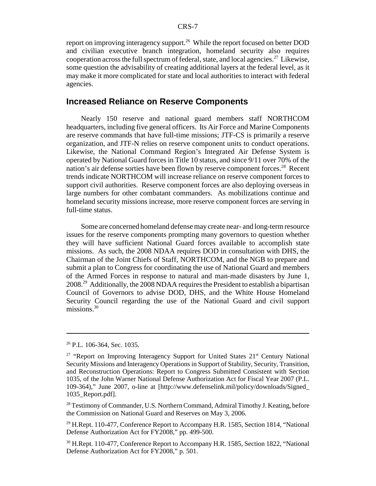report on improving interagency support.<sup>26</sup> While the report focused on better DOD and civilian executive branch integration, homeland security also requires cooperation across the full spectrum of federal, state, and local agencies.<sup>27</sup> Likewise, some question the advisability of creating additional layers at the federal level, as it may make it more complicated for state and local authorities to interact with federal agencies.

#### **Increased Reliance on Reserve Components**

Nearly 150 reserve and national guard members staff NORTHCOM headquarters, including five general officers. Its Air Force and Marine Components are reserve commands that have full-time missions; JTF-CS is primarily a reserve organization, and JTF-N relies on reserve component units to conduct operations. Likewise, the National Command Region's Integrated Air Defense System is operated by National Guard forces in Title 10 status, and since 9/11 over 70% of the nation's air defense sorties have been flown by reserve component forces.<sup>28</sup> Recent trends indicate NORTHCOM will increase reliance on reserve component forces to support civil authorities. Reserve component forces are also deploying overseas in large numbers for other combatant commanders. As mobilizations continue and homeland security missions increase, more reserve component forces are serving in full-time status.

Some are concerned homeland defense may create near- and long-term resource issues for the reserve components prompting many governors to question whether they will have sufficient National Guard forces available to accomplish state missions. As such, the 2008 NDAA requires DOD in consultation with DHS, the Chairman of the Joint Chiefs of Staff, NORTHCOM, and the NGB to prepare and submit a plan to Congress for coordinating the use of National Guard and members of the Armed Forces in response to natural and man-made disasters by June 1, 2008.29 Additionally, the 2008 NDAA requires the President to establish a bipartisan Council of Governors to advise DOD, DHS, and the White House Homeland Security Council regarding the use of the National Guard and civil support missions. $30$ 

<sup>26</sup> P.L. 106-364, Sec. 1035.

<sup>&</sup>lt;sup>27</sup> "Report on Improving Interagency Support for United States  $21<sup>st</sup>$  Century National Security Missions and Interagency Operations in Support of Stability, Security, Transition, and Reconstruction Operations: Report to Congress Submitted Consistent with Section 1035, of the John Warner National Defense Authorization Act for Fiscal Year 2007 (P.L. 109-364)," June 2007, o-line at [http://www.defenselink.mil/policy/downloads/Signed\_ 1035\_Report.pdf].

<sup>&</sup>lt;sup>28</sup> Testimony of Commander, U.S. Northern Command, Admiral Timothy J. Keating, before the Commission on National Guard and Reserves on May 3, 2006.

<sup>&</sup>lt;sup>29</sup> H.Rept. 110-477, Conference Report to Accompany H.R. 1585, Section 1814, "National Defense Authorization Act for FY2008," pp. 499-500.

<sup>&</sup>lt;sup>30</sup> H.Rept. 110-477, Conference Report to Accompany H.R. 1585, Section 1822, "National Defense Authorization Act for FY2008," p. 501.